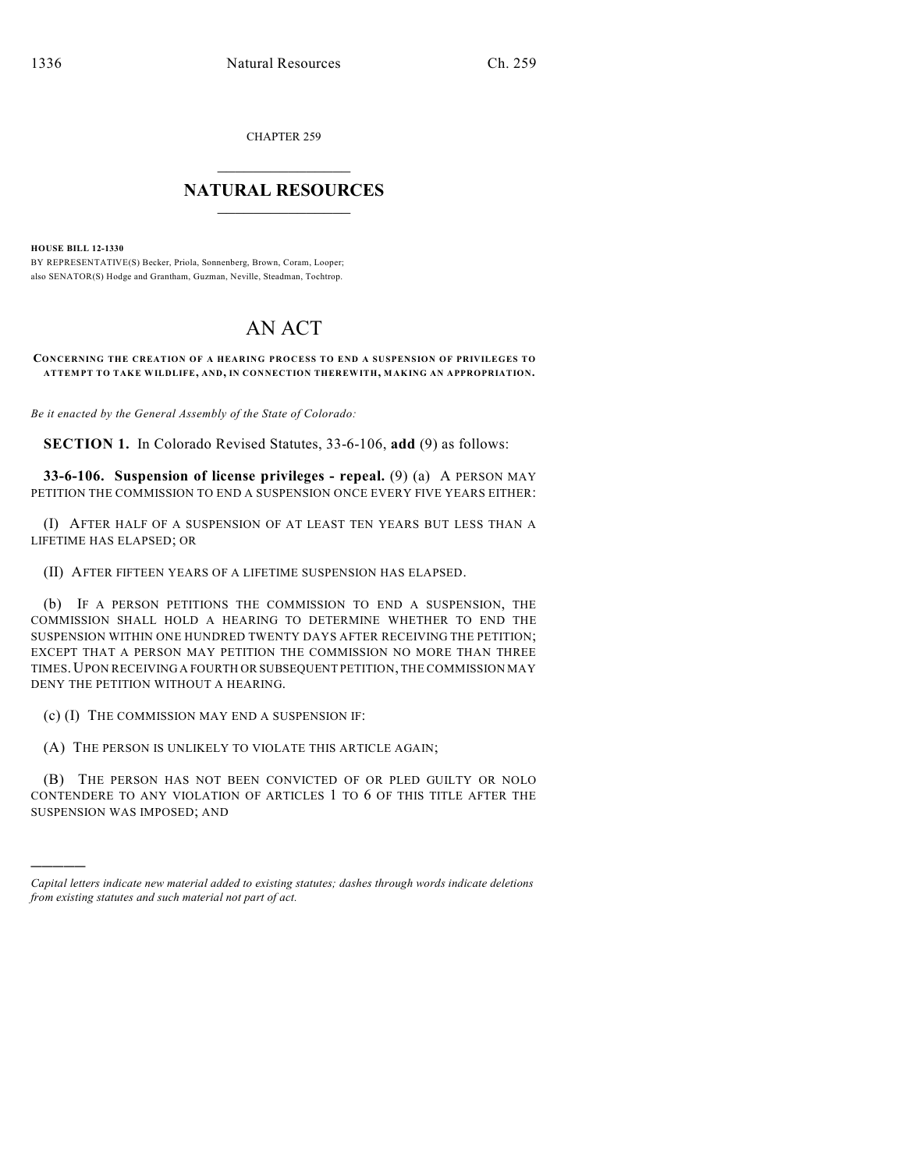CHAPTER 259

## $\overline{\phantom{a}}$  . The set of the set of the set of the set of the set of the set of the set of the set of the set of the set of the set of the set of the set of the set of the set of the set of the set of the set of the set o **NATURAL RESOURCES**  $\frac{1}{\sqrt{2}}$  , where  $\frac{1}{\sqrt{2}}$  ,  $\frac{1}{\sqrt{2}}$  ,  $\frac{1}{\sqrt{2}}$

**HOUSE BILL 12-1330**

)))))

BY REPRESENTATIVE(S) Becker, Priola, Sonnenberg, Brown, Coram, Looper; also SENATOR(S) Hodge and Grantham, Guzman, Neville, Steadman, Tochtrop.

## AN ACT

**CONCERNING THE CREATION OF A HEARING PROCESS TO END A SUSPENSION OF PRIVILEGES TO ATTEMPT TO TAKE WILDLIFE, AND, IN CONNECTION THEREWITH, MAKING AN APPROPRIATION.**

*Be it enacted by the General Assembly of the State of Colorado:*

**SECTION 1.** In Colorado Revised Statutes, 33-6-106, **add** (9) as follows:

**33-6-106. Suspension of license privileges - repeal.** (9) (a) A PERSON MAY PETITION THE COMMISSION TO END A SUSPENSION ONCE EVERY FIVE YEARS EITHER:

(I) AFTER HALF OF A SUSPENSION OF AT LEAST TEN YEARS BUT LESS THAN A LIFETIME HAS ELAPSED; OR

(II) AFTER FIFTEEN YEARS OF A LIFETIME SUSPENSION HAS ELAPSED.

(b) IF A PERSON PETITIONS THE COMMISSION TO END A SUSPENSION, THE COMMISSION SHALL HOLD A HEARING TO DETERMINE WHETHER TO END THE SUSPENSION WITHIN ONE HUNDRED TWENTY DAYS AFTER RECEIVING THE PETITION; EXCEPT THAT A PERSON MAY PETITION THE COMMISSION NO MORE THAN THREE TIMES.UPON RECEIVING A FOURTH OR SUBSEQUENT PETITION, THE COMMISSION MAY DENY THE PETITION WITHOUT A HEARING.

(c) (I) THE COMMISSION MAY END A SUSPENSION IF:

(A) THE PERSON IS UNLIKELY TO VIOLATE THIS ARTICLE AGAIN;

(B) THE PERSON HAS NOT BEEN CONVICTED OF OR PLED GUILTY OR NOLO CONTENDERE TO ANY VIOLATION OF ARTICLES 1 TO 6 OF THIS TITLE AFTER THE SUSPENSION WAS IMPOSED; AND

*Capital letters indicate new material added to existing statutes; dashes through words indicate deletions from existing statutes and such material not part of act.*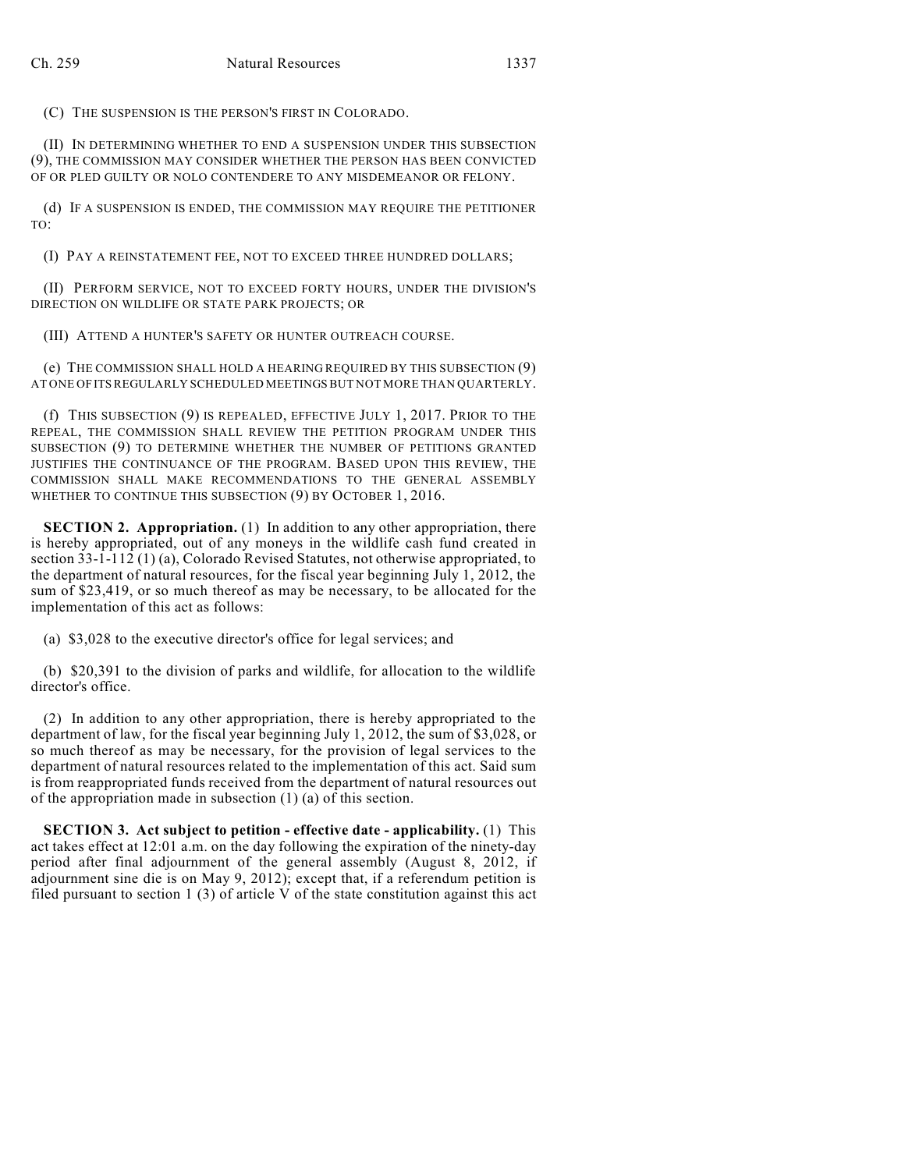(C) THE SUSPENSION IS THE PERSON'S FIRST IN COLORADO.

(II) IN DETERMINING WHETHER TO END A SUSPENSION UNDER THIS SUBSECTION (9), THE COMMISSION MAY CONSIDER WHETHER THE PERSON HAS BEEN CONVICTED OF OR PLED GUILTY OR NOLO CONTENDERE TO ANY MISDEMEANOR OR FELONY.

(d) IF A SUSPENSION IS ENDED, THE COMMISSION MAY REQUIRE THE PETITIONER TO:

(I) PAY A REINSTATEMENT FEE, NOT TO EXCEED THREE HUNDRED DOLLARS;

(II) PERFORM SERVICE, NOT TO EXCEED FORTY HOURS, UNDER THE DIVISION'S DIRECTION ON WILDLIFE OR STATE PARK PROJECTS; OR

(III) ATTEND A HUNTER'S SAFETY OR HUNTER OUTREACH COURSE.

(e) THE COMMISSION SHALL HOLD A HEARING REQUIRED BY THIS SUBSECTION (9) AT ONE OF ITS REGULARLY SCHEDULED MEETINGSBUT NOT MORE THAN QUARTERLY.

(f) THIS SUBSECTION (9) IS REPEALED, EFFECTIVE JULY 1, 2017. PRIOR TO THE REPEAL, THE COMMISSION SHALL REVIEW THE PETITION PROGRAM UNDER THIS SUBSECTION (9) TO DETERMINE WHETHER THE NUMBER OF PETITIONS GRANTED JUSTIFIES THE CONTINUANCE OF THE PROGRAM. BASED UPON THIS REVIEW, THE COMMISSION SHALL MAKE RECOMMENDATIONS TO THE GENERAL ASSEMBLY WHETHER TO CONTINUE THIS SUBSECTION (9) BY OCTOBER 1, 2016.

**SECTION 2. Appropriation.** (1) In addition to any other appropriation, there is hereby appropriated, out of any moneys in the wildlife cash fund created in section 33-1-112 (1) (a), Colorado Revised Statutes, not otherwise appropriated, to the department of natural resources, for the fiscal year beginning July 1, 2012, the sum of \$23,419, or so much thereof as may be necessary, to be allocated for the implementation of this act as follows:

(a) \$3,028 to the executive director's office for legal services; and

(b) \$20,391 to the division of parks and wildlife, for allocation to the wildlife director's office.

(2) In addition to any other appropriation, there is hereby appropriated to the department of law, for the fiscal year beginning July 1, 2012, the sum of \$3,028, or so much thereof as may be necessary, for the provision of legal services to the department of natural resources related to the implementation of this act. Said sum is from reappropriated funds received from the department of natural resources out of the appropriation made in subsection (1) (a) of this section.

**SECTION 3. Act subject to petition - effective date - applicability.** (1) This act takes effect at 12:01 a.m. on the day following the expiration of the ninety-day period after final adjournment of the general assembly (August 8, 2012, if adjournment sine die is on May 9, 2012); except that, if a referendum petition is filed pursuant to section 1 (3) of article V of the state constitution against this act